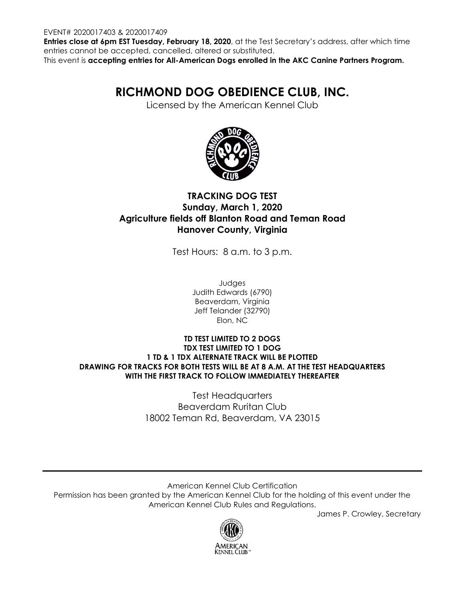#### EVENT# 2020017403 & 2020017409

**Entries close at 6pm EST Tuesday, February 18, 2020**, at the Test Secretary's address, after which time entries cannot be accepted, cancelled, altered or substituted.

This event is **accepting entries for All-American Dogs enrolled in the AKC Canine Partners Program.**

# **RICHMOND DOG OBEDIENCE CLUB, INC.**

Licensed by the American Kennel Club



# **TRACKING DOG TEST Sunday, March 1, 2020 Agriculture fields off Blanton Road and Teman Road Hanover County, Virginia**

Test Hours: 8 a.m. to 3 p.m.

Judges Judith Edwards (6790) Beaverdam, Virginia Jeff Telander (32790) Elon, NC

### **TD TEST LIMITED TO 2 DOGS TDX TEST LIMITED TO 1 DOG 1 TD & 1 TDX ALTERNATE TRACK WILL BE PLOTTED DRAWING FOR TRACKS FOR BOTH TESTS WILL BE AT 8 A.M. AT THE TEST HEADQUARTERS WITH THE FIRST TRACK TO FOLLOW IMMEDIATELY THEREAFTER**

Test Headquarters Beaverdam Ruritan Club 18002 Teman Rd, Beaverdam, VA 23015

American Kennel Club Certification Permission has been granted by the American Kennel Club for the holding of this event under the American Kennel Club Rules and Regulations.

James P. Crowley, Secretary